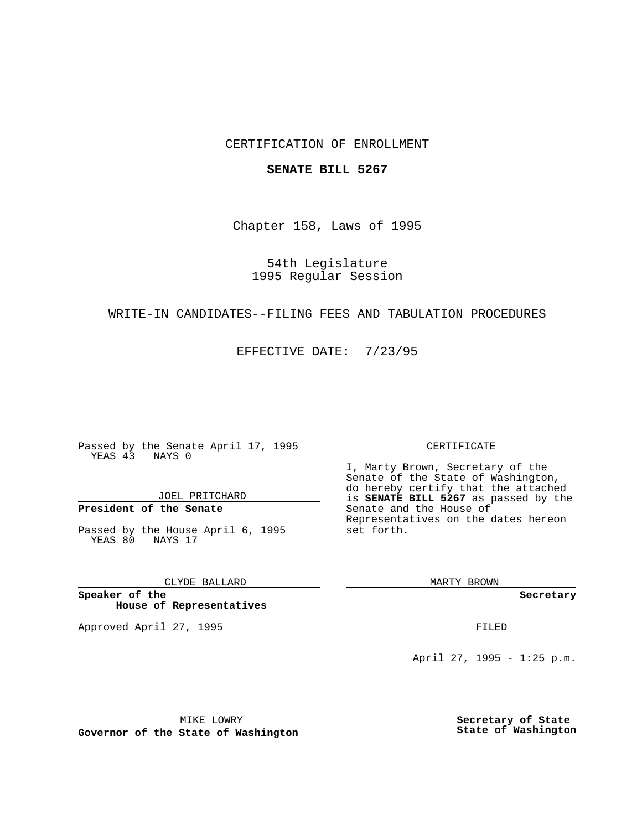## CERTIFICATION OF ENROLLMENT

### **SENATE BILL 5267**

Chapter 158, Laws of 1995

54th Legislature 1995 Regular Session

## WRITE-IN CANDIDATES--FILING FEES AND TABULATION PROCEDURES

EFFECTIVE DATE: 7/23/95

Passed by the Senate April 17, 1995 YEAS 43 NAYS 0

JOEL PRITCHARD

# **President of the Senate**

Passed by the House April 6, 1995 YEAS 80 NAYS 17

CLYDE BALLARD

**Speaker of the House of Representatives**

Approved April 27, 1995 FILED

#### CERTIFICATE

I, Marty Brown, Secretary of the Senate of the State of Washington, do hereby certify that the attached is **SENATE BILL 5267** as passed by the Senate and the House of Representatives on the dates hereon set forth.

MARTY BROWN

**Secretary**

April 27, 1995 - 1:25 p.m.

MIKE LOWRY **Governor of the State of Washington** **Secretary of State State of Washington**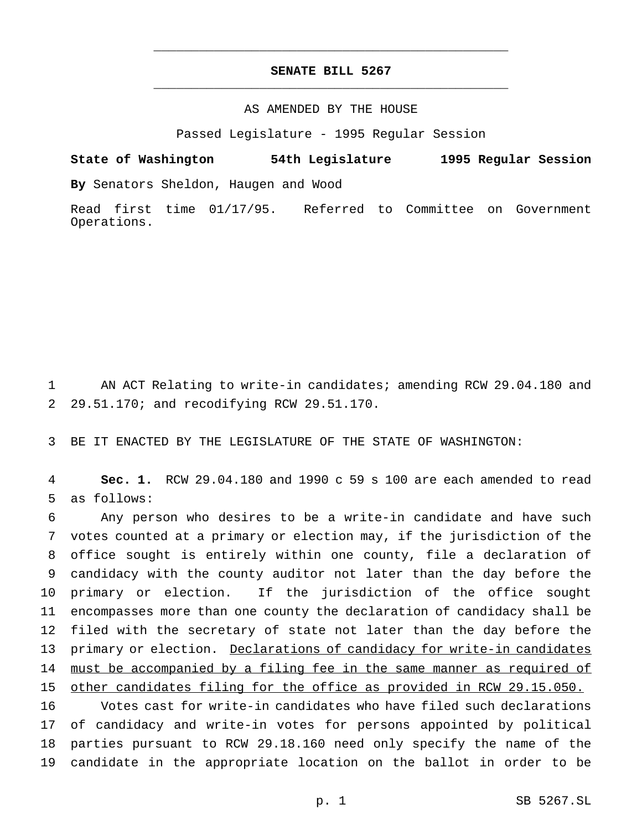# **SENATE BILL 5267** \_\_\_\_\_\_\_\_\_\_\_\_\_\_\_\_\_\_\_\_\_\_\_\_\_\_\_\_\_\_\_\_\_\_\_\_\_\_\_\_\_\_\_\_\_\_\_

\_\_\_\_\_\_\_\_\_\_\_\_\_\_\_\_\_\_\_\_\_\_\_\_\_\_\_\_\_\_\_\_\_\_\_\_\_\_\_\_\_\_\_\_\_\_\_

### AS AMENDED BY THE HOUSE

Passed Legislature - 1995 Regular Session

**State of Washington 54th Legislature 1995 Regular Session By** Senators Sheldon, Haugen and Wood

Read first time 01/17/95. Referred to Committee on Government Operations.

 AN ACT Relating to write-in candidates; amending RCW 29.04.180 and 29.51.170; and recodifying RCW 29.51.170.

BE IT ENACTED BY THE LEGISLATURE OF THE STATE OF WASHINGTON:

 **Sec. 1.** RCW 29.04.180 and 1990 c 59 s 100 are each amended to read as follows:

 Any person who desires to be a write-in candidate and have such votes counted at a primary or election may, if the jurisdiction of the office sought is entirely within one county, file a declaration of candidacy with the county auditor not later than the day before the primary or election. If the jurisdiction of the office sought encompasses more than one county the declaration of candidacy shall be filed with the secretary of state not later than the day before the primary or election. Declarations of candidacy for write-in candidates 14 must be accompanied by a filing fee in the same manner as required of other candidates filing for the office as provided in RCW 29.15.050.

 Votes cast for write-in candidates who have filed such declarations of candidacy and write-in votes for persons appointed by political parties pursuant to RCW 29.18.160 need only specify the name of the candidate in the appropriate location on the ballot in order to be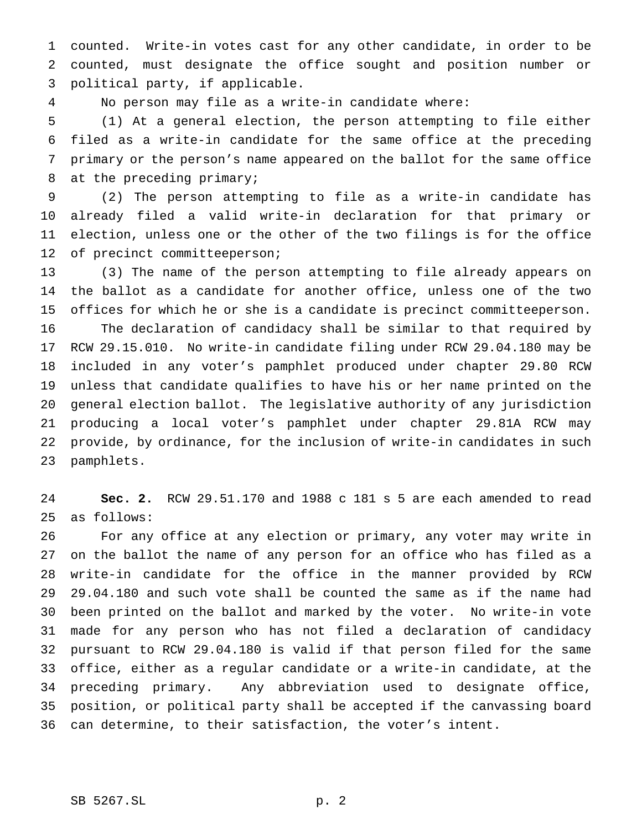counted. Write-in votes cast for any other candidate, in order to be counted, must designate the office sought and position number or political party, if applicable.

No person may file as a write-in candidate where:

 (1) At a general election, the person attempting to file either filed as a write-in candidate for the same office at the preceding primary or the person's name appeared on the ballot for the same office at the preceding primary;

 (2) The person attempting to file as a write-in candidate has already filed a valid write-in declaration for that primary or election, unless one or the other of the two filings is for the office 12 of precinct committeeperson;

 (3) The name of the person attempting to file already appears on the ballot as a candidate for another office, unless one of the two offices for which he or she is a candidate is precinct committeeperson. The declaration of candidacy shall be similar to that required by RCW 29.15.010. No write-in candidate filing under RCW 29.04.180 may be included in any voter's pamphlet produced under chapter 29.80 RCW unless that candidate qualifies to have his or her name printed on the general election ballot. The legislative authority of any jurisdiction producing a local voter's pamphlet under chapter 29.81A RCW may provide, by ordinance, for the inclusion of write-in candidates in such pamphlets.

 **Sec. 2.** RCW 29.51.170 and 1988 c 181 s 5 are each amended to read as follows:

 For any office at any election or primary, any voter may write in on the ballot the name of any person for an office who has filed as a write-in candidate for the office in the manner provided by RCW 29.04.180 and such vote shall be counted the same as if the name had been printed on the ballot and marked by the voter. No write-in vote made for any person who has not filed a declaration of candidacy pursuant to RCW 29.04.180 is valid if that person filed for the same office, either as a regular candidate or a write-in candidate, at the preceding primary. Any abbreviation used to designate office, position, or political party shall be accepted if the canvassing board can determine, to their satisfaction, the voter's intent.